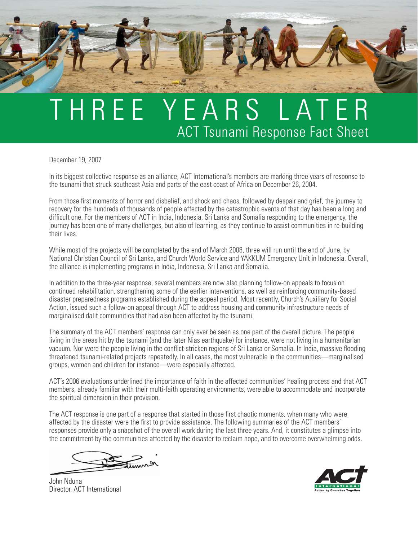## T H R E E Y E A R S L A T E R ACT Tsunami Response Fact Sheet

December 19, 2007

In its biggest collective response as an alliance, ACT International's members are marking three years of response to the tsunami that struck southeast Asia and parts of the east coast of Africa on December 26, 2004.

From those first moments of horror and disbelief, and shock and chaos, followed by despair and grief, the journey to recovery for the hundreds of thousands of people affected by the catastrophic events of that day has been a long and difficult one. For the members of ACT in India, Indonesia, Sri Lanka and Somalia responding to the emergency, the journey has been one of many challenges, but also of learning, as they continue to assist communities in re-building their lives.

While most of the projects will be completed by the end of March 2008, three will run until the end of June, by National Christian Council of Sri Lanka, and Church World Service and YAKKUM Emergency Unit in Indonesia. Overall, the alliance is implementing programs in India, Indonesia, Sri Lanka and Somalia.

In addition to the three-year response, several members are now also planning follow-on appeals to focus on continued rehabilitation, strengthening some of the earlier interventions, as well as reinforcing community-based disaster preparedness programs established during the appeal period. Most recently, Church's Auxiliary for Social Action, issued such a follow-on appeal through ACT to address housing and community infrastructure needs of marginalised dalit communities that had also been affected by the tsunami.

The summary of the ACT members' response can only ever be seen as one part of the overall picture. The people living in the areas hit by the tsunami (and the later Nias earthquake) for instance, were not living in a humanitarian vacuum. Nor were the people living in the conflict-stricken regions of Sri Lanka or Somalia. In India, massive flooding threatened tsunami-related projects repeatedly. In all cases, the most vulnerable in the communities—marginalised groups, women and children for instance—were especially affected.

ACT's 2006 evaluations underlined the importance of faith in the affected communities' healing process and that ACT members, already familiar with their multi-faith operating environments, were able to accommodate and incorporate the spiritual dimension in their provision.

The ACT response is one part of a response that started in those first chaotic moments, when many who were affected by the disaster were the first to provide assistance. The following summaries of the ACT members' responses provide only a snapshot of the overall work during the last three years. And, it constitutes a glimpse into the commitment by the communities affected by the disaster to reclaim hope, and to overcome overwhelming odds.

John Nduna Director, ACT International

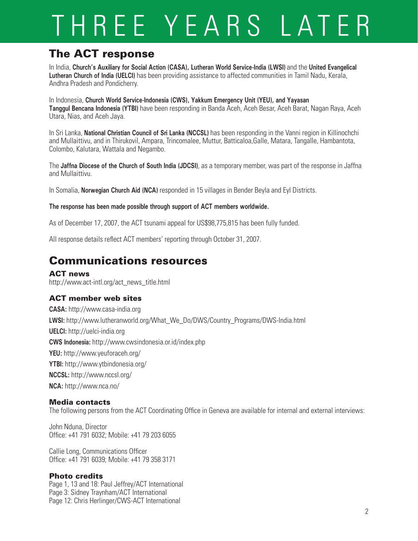## THREE YEARS LATER

### The ACT response

In India, **Church's Auxiliary for Social Action (CASA), Lutheran World Service-India (LWSI)** and the **United Evangelical Lutheran Church of India (UELCI)** has been providing assistance to affected communities in Tamil Nadu, Kerala, Andhra Pradesh and Pondicherry.

In Indonesia, **Church World Service-Indonesia (CWS), Yakkum Emergency Unit (YEU), and Yayasan Tanggul Bencana Indonesia (YTBI)** have been responding in Banda Aceh, Aceh Besar, Aceh Barat, Nagan Raya, Aceh Utara, Nias, and Aceh Jaya.

In Sri Lanka, **National Christian Council of Sri Lanka (NCCSL)** has been responding in the Vanni region in Killinochchi and Mullaittivu, and in Thirukovil, Ampara, Trincomalee, Muttur, Batticaloa,Galle, Matara, Tangalle, Hambantota, Colombo, Kalutara, Wattala and Negambo.

The **Jaffna Diocese of the Church of South India (JDCSI)**, as a temporary member, was part of the response in Jaffna and Mullaittivu.

In Somalia, **Norwegian Church Aid (NCA)** responded in 15 villages in Bender Beyla and Eyl Districts.

#### **The response has been made possible through support of ACT members worldwide.**

As of December 17, 2007, the ACT tsunami appeal for US\$98,775,815 has been fully funded.

All response details reflect ACT members' reporting through October 31, 2007.

### Communications resources

#### ACT news

http://www.act-intl.org/act\_news\_title.html

#### ACT member web sites

**CASA:** http://www.casa-india.org **LWSI:** http://www.lutheranworld.org/What\_We\_Do/DWS/Country\_Programs/DWS-India.html **UELCI:** http://uelci-india.org **CWS Indonesia:** http://www.cwsindonesia.or.id/index.php **YEU:** http://www.yeuforaceh.org/ **YTBI:** http://www.ytbindonesia.org/ **NCCSL:** http://www.nccsl.org/ **NCA:** http://www.nca.no/

#### Media contacts

The following persons from the ACT Coordinating Office in Geneva are available for internal and external interviews:

John Nduna, Director Office: +41 791 6032; Mobile: +41 79 203 6055

Callie Long, Communications Officer Office: +41 791 6039; Mobile: +41 79 358 3171

#### Photo credits

Page 1, 13 and 18: Paul Jeffrey/ACT International Page 3: Sidney Traynham/ACT International Page 12: Chris Herlinger/CWS-ACT International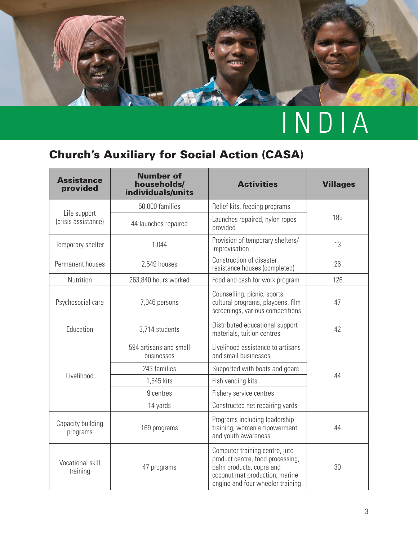

## Church's Auxiliary for Social Action (CASA)

| <b>Assistance</b><br>provided       | <b>Number of</b><br>households/<br>individuals/units | <b>Activities</b>                                                                                                                                                    | <b>Villages</b> |
|-------------------------------------|------------------------------------------------------|----------------------------------------------------------------------------------------------------------------------------------------------------------------------|-----------------|
|                                     | 50,000 families                                      | Relief kits, feeding programs                                                                                                                                        |                 |
| Life support<br>(crisis assistance) | 44 launches repaired                                 | Launches repaired, nylon ropes<br>provided                                                                                                                           | 185             |
| Temporary shelter                   | 1,044                                                | Provision of temporary shelters/<br>improvisation                                                                                                                    | 13              |
| Permanent houses                    | 2,549 houses                                         | Construction of disaster<br>resistance houses (completed)                                                                                                            | 26              |
| Nutrition                           | 263,840 hours worked                                 | Food and cash for work program                                                                                                                                       | 126             |
| Psychosocial care                   | 7,046 persons                                        | Counselling, picnic, sports,<br>cultural programs, playpens, film<br>screenings, various competitions                                                                | 47              |
| Education                           | 3,714 students                                       | Distributed educational support<br>materials, tuition centres                                                                                                        | 42              |
|                                     | 594 artisans and small<br>businesses                 | Livelihood assistance to artisans<br>and small businesses                                                                                                            |                 |
|                                     | 243 families                                         | Supported with boats and gears                                                                                                                                       |                 |
| Livelihood                          | 1,545 kits                                           | Fish vending kits                                                                                                                                                    | 44              |
|                                     | 9 centres                                            | Fishery service centres                                                                                                                                              |                 |
|                                     | 14 yards                                             | Constructed net repairing yards                                                                                                                                      |                 |
| Capacity building<br>programs       | 169 programs                                         | Programs including leadership<br>training, women empowerment<br>and youth awareness                                                                                  | 44              |
| Vocational skill<br>training        | 47 programs                                          | Computer training centre, jute<br>product centre, food processing,<br>palm products, copra and<br>coconut mat production; marine<br>engine and four wheeler training | 30              |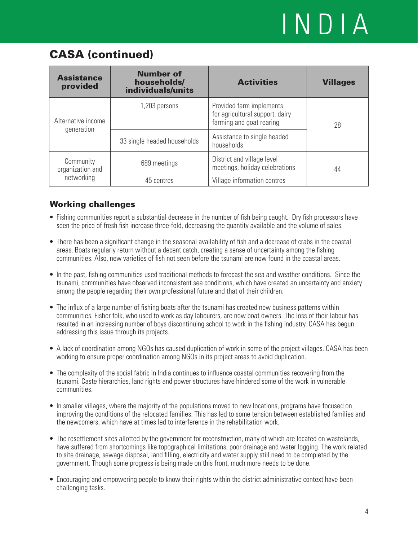### CASA (continued)

| <b>Assistance</b><br>provided    | <b>Number of</b><br>households/<br>individuals/units | <b>Activities</b>                                                                       | <b>Villages</b> |
|----------------------------------|------------------------------------------------------|-----------------------------------------------------------------------------------------|-----------------|
| Alternative income<br>generation | 1,203 persons                                        | Provided farm implements<br>for agricultural support, dairy<br>farming and goat rearing | 28              |
|                                  | 33 single headed households                          | Assistance to single headed<br>households                                               |                 |
| Community<br>organization and    | 689 meetings                                         | District and village level<br>meetings, holiday celebrations                            | 44              |
| networking                       | 45 centres                                           | Village information centres                                                             |                 |

- Fishing communities report a substantial decrease in the number of fish being caught. Dry fish processors have seen the price of fresh fish increase three-fold, decreasing the quantity available and the volume of sales.
- There has been a significant change in the seasonal availability of fish and a decrease of crabs in the coastal areas. Boats regularly return without a decent catch, creating a sense of uncertainty among the fishing communities. Also, new varieties of fish not seen before the tsunami are now found in the coastal areas.
- In the past, fishing communities used traditional methods to forecast the sea and weather conditions. Since the tsunami, communities have observed inconsistent sea conditions, which have created an uncertainty and anxiety among the people regarding their own professional future and that of their children.
- The influx of a large number of fishing boats after the tsunami has created new business patterns within communities. Fisher folk, who used to work as day labourers, are now boat owners. The loss of their labour has resulted in an increasing number of boys discontinuing school to work in the fishing industry. CASA has begun addressing this issue through its projects.
- A lack of coordination among NGOs has caused duplication of work in some of the project villages. CASA has been working to ensure proper coordination among NGOs in its project areas to avoid duplication.
- The complexity of the social fabric in India continues to influence coastal communities recovering from the tsunami. Caste hierarchies, land rights and power structures have hindered some of the work in vulnerable communities.
- In smaller villages, where the majority of the populations moved to new locations, programs have focused on improving the conditions of the relocated families. This has led to some tension between established families and the newcomers, which have at times led to interference in the rehabilitation work.
- The resettlement sites allotted by the government for reconstruction, many of which are located on wastelands, have suffered from shortcomings like topographical limitations, poor drainage and water logging. The work related to site drainage, sewage disposal, land filling, electricity and water supply still need to be completed by the government. Though some progress is being made on this front, much more needs to be done.
- Encouraging and empowering people to know their rights within the district administrative context have been challenging tasks.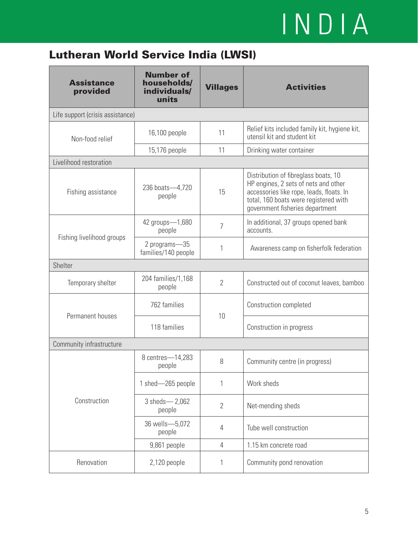## Lutheran World Service India (LWSI)

| <b>Assistance</b><br>provided    | <b>Number of</b><br>households/<br>individuals/<br>units | <b>Villages</b> | <b>Activities</b>                                                                                                                                                                                    |  |
|----------------------------------|----------------------------------------------------------|-----------------|------------------------------------------------------------------------------------------------------------------------------------------------------------------------------------------------------|--|
| Life support (crisis assistance) |                                                          |                 |                                                                                                                                                                                                      |  |
| Non-food relief                  | 16,100 people                                            | 11              | Relief kits included family kit, hygiene kit,<br>utensil kit and student kit                                                                                                                         |  |
|                                  | 15,176 people                                            | 11              | Drinking water container                                                                                                                                                                             |  |
| Livelihood restoration           |                                                          |                 |                                                                                                                                                                                                      |  |
| Fishing assistance               | 236 boats-4,720<br>people                                | 15              | Distribution of fibreglass boats, 10<br>HP engines, 2 sets of nets and other<br>accessories like rope, leads, floats. In<br>total, 160 boats were registered with<br>government fisheries department |  |
|                                  | 42 groups-1,680<br>people                                | $\overline{7}$  | In additional, 37 groups opened bank<br>accounts.                                                                                                                                                    |  |
| Fishing livelihood groups        | 2 programs-35<br>families/140 people                     | 1               | Awareness camp on fisherfolk federation                                                                                                                                                              |  |
| Shelter                          |                                                          |                 |                                                                                                                                                                                                      |  |
| Temporary shelter                | 204 families/1,168<br>people                             | $\overline{2}$  | Constructed out of coconut leaves, bamboo                                                                                                                                                            |  |
| Permanent houses                 | 762 families                                             | 10              | Construction completed                                                                                                                                                                               |  |
|                                  | 118 families                                             |                 | Construction in progress                                                                                                                                                                             |  |
| Community infrastructure         |                                                          |                 |                                                                                                                                                                                                      |  |
|                                  | 8 centres-14,283<br>people                               | 8               | Community centre (in progress)                                                                                                                                                                       |  |
|                                  | 1 shed-265 people                                        | 1               | Work sheds                                                                                                                                                                                           |  |
| Construction                     | 3 sheds-2,062<br>people                                  | $\overline{2}$  | Net-mending sheds                                                                                                                                                                                    |  |
|                                  | 36 wells-5,072<br>people                                 | 4               | Tube well construction                                                                                                                                                                               |  |
|                                  | 9,861 people                                             | $\overline{4}$  | 1.15 km concrete road                                                                                                                                                                                |  |
| Renovation                       | 2,120 people                                             | 1               | Community pond renovation                                                                                                                                                                            |  |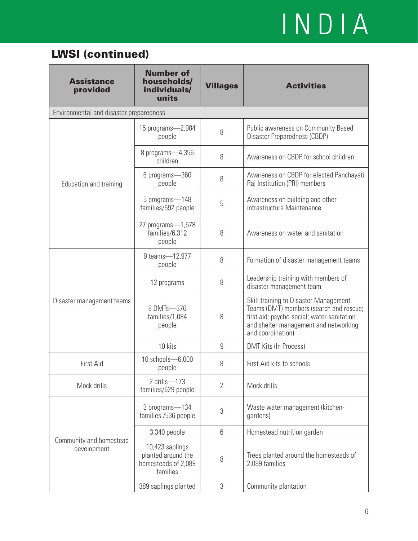## LWSI (continued)

| <b>Assistance</b><br>provided           | <b>Number of</b><br>households/<br>individuals/<br>units                 | <b>Villages</b> | <b>Activities</b>                                                                                                                                                                            |
|-----------------------------------------|--------------------------------------------------------------------------|-----------------|----------------------------------------------------------------------------------------------------------------------------------------------------------------------------------------------|
| Environmental and disaster preparedness |                                                                          |                 |                                                                                                                                                                                              |
|                                         | 15 programs-2,984<br>people                                              | 8               | Public awareness on Community Based<br>Disaster Preparedness (CBDP)                                                                                                                          |
|                                         | 8 programs-4,356<br>children                                             | 8               | Awareness on CBDP for school children                                                                                                                                                        |
| Education and training                  | 6 programs-360<br>people                                                 | 8               | Awareness on CBDP for elected Panchayati<br>Raj Institution (PRI) members                                                                                                                    |
|                                         | 5 programs-148<br>families/592 people                                    | 5               | Awareness on building and other<br>infrastructure Maintenance                                                                                                                                |
|                                         | 27 programs-1,578<br>families/6,312<br>people                            | 8               | Awareness on water and sanitation                                                                                                                                                            |
|                                         | 9 teams-12,977<br>people                                                 | 8               | Formation of disaster management teams                                                                                                                                                       |
|                                         | 12 programs                                                              | 8               | Leadership training with members of<br>disaster management team                                                                                                                              |
| Disaster management teams               | 8 DMTs-376<br>families/1,084<br>people                                   | 8               | Skill training to Disaster Management<br>Teams (DMT) members (search and rescue;<br>first aid; psycho-social; water-sanitation<br>and shelter management and networking<br>and coordination) |
|                                         | 10 kits                                                                  | 9               | DMT Kits (In Process)                                                                                                                                                                        |
| First Aid                               | 10 schools-6,000<br>people                                               | 8               | First Aid kits to schools                                                                                                                                                                    |
| Mock drills                             | 2 drills-173<br>families/629 people                                      | $\overline{2}$  | Mock drills                                                                                                                                                                                  |
|                                         | 3 programs-134<br>families /536 people                                   | 3               | Waste water management (kitchen-<br>gardens)                                                                                                                                                 |
|                                         | 3,340 people                                                             | 6               | Homestead nutrition garden                                                                                                                                                                   |
| Community and homestead<br>development  | 10,423 saplings<br>planted around the<br>homesteads of 2,089<br>families | 8               | Trees planted around the homesteads of<br>2,089 families                                                                                                                                     |
|                                         | 389 saplings planted                                                     | 3               | Community plantation                                                                                                                                                                         |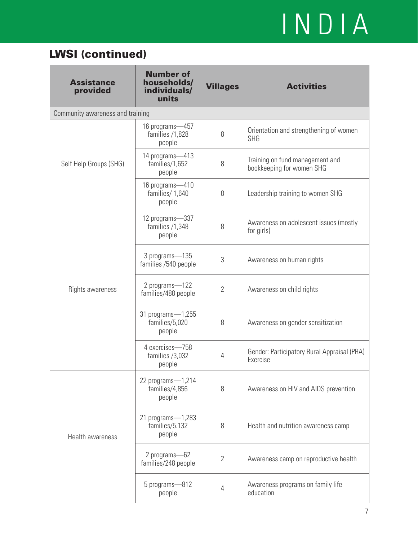## LWSI (continued)

| <b>Assistance</b><br>provided    | <b>Number of</b><br>households/<br>individuals/<br>units | <b>Villages</b> | <b>Activities</b>                                            |
|----------------------------------|----------------------------------------------------------|-----------------|--------------------------------------------------------------|
| Community awareness and training |                                                          |                 |                                                              |
|                                  | 16 programs-457<br>families /1,828<br>people             | 8               | Orientation and strengthening of women<br><b>SHG</b>         |
| Self Help Groups (SHG)           | 14 programs-413<br>families/1,652<br>people              | 8               | Training on fund management and<br>bookkeeping for women SHG |
|                                  | 16 programs-410<br>families/1,640<br>people              | 8               | Leadership training to women SHG                             |
|                                  | 12 programs-337<br>families /1,348<br>people             | 8               | Awareness on adolescent issues (mostly<br>for girls)         |
|                                  | 3 programs-135<br>families /540 people                   | 3               | Awareness on human rights                                    |
| Rights awareness                 | 2 programs-122<br>families/488 people                    | $\overline{2}$  | Awareness on child rights                                    |
|                                  | 31 programs-1,255<br>families/5,020<br>people            | 8               | Awareness on gender sensitization                            |
|                                  | 4 exercises-758<br>families /3,032<br>people             | 4               | Gender: Participatory Rural Appraisal (PRA)<br>Exercise      |
| Health awareness                 | 22 programs-1,214<br>families/4,856<br>people            | 8               | Awareness on HIV and AIDS prevention                         |
|                                  | 21 programs-1,283<br>families/5.132<br>people            | 8               | Health and nutrition awareness camp                          |
|                                  | 2 programs-62<br>families/248 people                     | $\overline{2}$  | Awareness camp on reproductive health                        |
|                                  | 5 programs-812<br>people                                 | 4               | Awareness programs on family life<br>education               |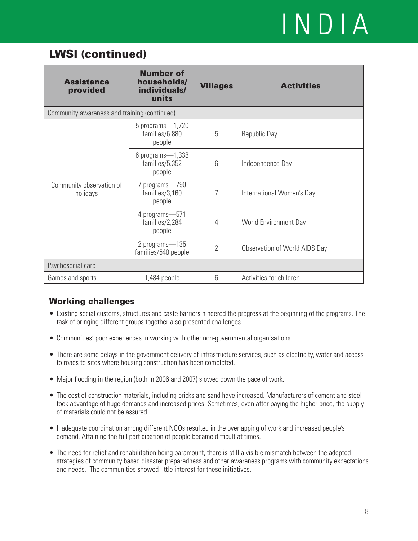### LWSI (continued)

| <b>Assistance</b><br>provided                | <b>Number of</b><br>households/<br>individuals/<br>units | <b>Villages</b> | <b>Activities</b>             |  |
|----------------------------------------------|----------------------------------------------------------|-----------------|-------------------------------|--|
| Community awareness and training (continued) |                                                          |                 |                               |  |
| Community observation of<br>holidays         | 5 programs-1,720<br>families/6.880<br>people             | 5               | Republic Day                  |  |
|                                              | $6$ programs $-1,338$<br>families/5.352<br>people        | 6               | Independence Day              |  |
|                                              | 7 programs-790<br>families/3,160<br>people               | 7               | International Women's Day     |  |
|                                              | 4 programs-571<br>families/2,284<br>people               | 4               | World Environment Day         |  |
|                                              | 2 programs-135<br>families/540 people                    | $\overline{2}$  | Observation of World AIDS Day |  |
| Psychosocial care                            |                                                          |                 |                               |  |
| Games and sports                             | 1,484 people                                             | 6               | Activities for children       |  |

- Existing social customs, structures and caste barriers hindered the progress at the beginning of the programs. The task of bringing different groups together also presented challenges.
- Communities' poor experiences in working with other non-governmental organisations •
- There are some delays in the government delivery of infrastructure services, such as electricity, water and access to roads to sites where housing construction has been completed.
- Major flooding in the region (both in 2006 and 2007) slowed down the pace of work.
- The cost of construction materials, including bricks and sand have increased. Manufacturers of cement and steel took advantage of huge demands and increased prices. Sometimes, even after paying the higher price, the supply of materials could not be assured.
- Inadequate coordination among different NGOs resulted in the overlapping of work and increased people's demand. Attaining the full participation of people became difficult at times.
- The need for relief and rehabilitation being paramount, there is still a visible mismatch between the adopted strategies of community based disaster preparedness and other awareness programs with community expectations and needs. The communities showed little interest for these initiatives.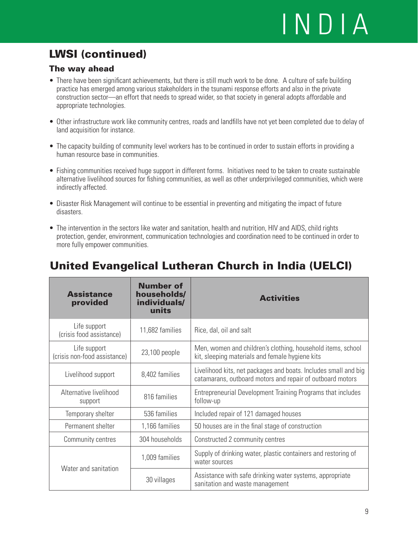## LWSI (continued)

#### The way ahead

- There have been significant achievements, but there is still much work to be done. A culture of safe building practice has emerged among various stakeholders in the tsunami response efforts and also in the private construction sector—an effort that needs to spread wider, so that society in general adopts affordable and appropriate technologies.
- Other infrastructure work like community centres, roads and landfills have not yet been completed due to delay of land acquisition for instance.
- The capacity building of community level workers has to be continued in order to sustain efforts in providing a human resource base in communities.
- Fishing communities received huge support in different forms. Initiatives need to be taken to create sustainable alternative livelihood sources for fishing communities, as well as other underprivileged communities, which were indirectly affected.
- Disaster Risk Management will continue to be essential in preventing and mitigating the impact of future disasters.
- The intervention in the sectors like water and sanitation, health and nutrition, HIV and AIDS, child rights protection, gender, environment, communication technologies and coordination need to be continued in order to more fully empower communities.

| <b>Assistance</b><br>provided                | <b>Number of</b><br>households/<br>individuals/<br>units | <b>Activities</b>                                                                                                            |
|----------------------------------------------|----------------------------------------------------------|------------------------------------------------------------------------------------------------------------------------------|
| Life support<br>(crisis food assistance)     | 11,682 families                                          | Rice, dal, oil and salt                                                                                                      |
| Life support<br>(crisis non-food assistance) | 23,100 people                                            | Men, women and children's clothing, household items, school<br>kit, sleeping materials and female hygiene kits               |
| Livelihood support                           | 8,402 families                                           | Livelihood kits, net packages and boats. Includes small and big<br>catamarans, outboard motors and repair of outboard motors |
| Alternative livelihood<br>support            | 816 families                                             | Entrepreneurial Development Training Programs that includes<br>follow-up                                                     |
| Temporary shelter                            | 536 families                                             | Included repair of 121 damaged houses                                                                                        |
| Permanent shelter                            | 1,166 families                                           | 50 houses are in the final stage of construction                                                                             |
| Community centres                            | 304 households                                           | Constructed 2 community centres                                                                                              |
|                                              | 1,009 families                                           | Supply of drinking water, plastic containers and restoring of<br>water sources                                               |
| Water and sanitation                         | 30 villages                                              | Assistance with safe drinking water systems, appropriate<br>sanitation and waste management                                  |

### United Evangelical Lutheran Church in India (UELCI)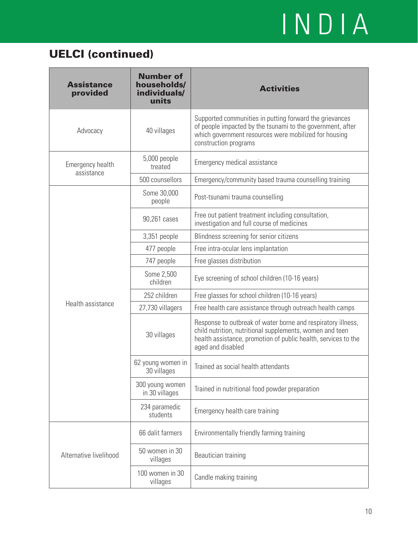### UELCI (continued)

| <b>Assistance</b><br>provided  | <b>Number of</b><br>households/<br>individuals/<br>units | <b>Activities</b>                                                                                                                                                                                               |  |
|--------------------------------|----------------------------------------------------------|-----------------------------------------------------------------------------------------------------------------------------------------------------------------------------------------------------------------|--|
| Advocacy                       | 40 villages                                              | Supported communities in putting forward the grievances<br>of people impacted by the tsunami to the government, after<br>which government resources were mobilized for housing<br>construction programs         |  |
| Emergency health<br>assistance | 5,000 people<br>treated                                  | Emergency medical assistance                                                                                                                                                                                    |  |
|                                | 500 counsellors                                          | Emergency/community based trauma counselling training                                                                                                                                                           |  |
|                                | Some 30,000<br>people                                    | Post-tsunami trauma counselling                                                                                                                                                                                 |  |
|                                | 90,261 cases                                             | Free out patient treatment including consultation,<br>investigation and full course of medicines                                                                                                                |  |
|                                | 3,351 people                                             | Blindness screening for senior citizens                                                                                                                                                                         |  |
|                                | 477 people                                               | Free intra-ocular lens implantation                                                                                                                                                                             |  |
|                                | 747 people                                               | Free glasses distribution                                                                                                                                                                                       |  |
|                                | Some 2,500<br>children                                   | Eye screening of school children (10-16 years)                                                                                                                                                                  |  |
|                                | 252 children                                             | Free glasses for school children (10-16 years)                                                                                                                                                                  |  |
| Health assistance              | 27,730 villagers                                         | Free health care assistance through outreach health camps                                                                                                                                                       |  |
|                                | 30 villages                                              | Response to outbreak of water borne and respiratory illness,<br>child nutrition, nutritional supplements, women and teen<br>health assistance, promotion of public health, services to the<br>aged and disabled |  |
|                                | 62 young women in<br>30 villages                         | Trained as social health attendants                                                                                                                                                                             |  |
|                                | 300 young women<br>in 30 villages                        | Trained in nutritional food powder preparation                                                                                                                                                                  |  |
|                                | 234 paramedic<br>students                                | Emergency health care training                                                                                                                                                                                  |  |
|                                | 66 dalit farmers                                         | Environmentally friendly farming training                                                                                                                                                                       |  |
| Alternative livelihood         | 50 women in 30<br>villages                               | Beautician training                                                                                                                                                                                             |  |
|                                | 100 women in 30<br>villages                              | Candle making training                                                                                                                                                                                          |  |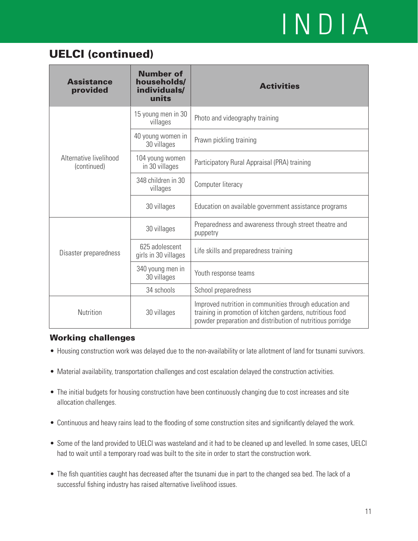### UELCI (continued)

| <b>Assistance</b><br>provided         | <b>Number of</b><br>households/<br>individuals/<br>units | <b>Activities</b>                                                                                                                                                                  |  |
|---------------------------------------|----------------------------------------------------------|------------------------------------------------------------------------------------------------------------------------------------------------------------------------------------|--|
|                                       | 15 young men in 30<br>villages                           | Photo and videography training                                                                                                                                                     |  |
|                                       | 40 young women in<br>30 villages                         | Prawn pickling training                                                                                                                                                            |  |
| Alternative livelihood<br>(continued) | 104 young women<br>in 30 villages                        | Participatory Rural Appraisal (PRA) training                                                                                                                                       |  |
|                                       | 348 children in 30<br>villages                           | Computer literacy                                                                                                                                                                  |  |
|                                       | 30 villages                                              | Education on available government assistance programs                                                                                                                              |  |
| Disaster preparedness                 | 30 villages                                              | Preparedness and awareness through street theatre and<br>puppetry                                                                                                                  |  |
|                                       | 625 adolescent<br>girls in 30 villages                   | Life skills and preparedness training                                                                                                                                              |  |
|                                       | 340 young men in<br>30 villages                          | Youth response teams                                                                                                                                                               |  |
|                                       | 34 schools                                               | School preparedness                                                                                                                                                                |  |
| Nutrition                             | 30 villages                                              | Improved nutrition in communities through education and<br>training in promotion of kitchen gardens, nutritious food<br>powder preparation and distribution of nutritious porridge |  |

- Housing construction work was delayed due to the non-availability or late allotment of land for tsunami survivors. •
- Material availability, transportation challenges and cost escalation delayed the construction activities. •
- The initial budgets for housing construction have been continuously changing due to cost increases and site allocation challenges.
- Continuous and heavy rains lead to the flooding of some construction sites and significantly delayed the work. •
- Some of the land provided to UELCI was wasteland and it had to be cleaned up and levelled. In some cases, UELCI had to wait until a temporary road was built to the site in order to start the construction work.
- The fish quantities caught has decreased after the tsunami due in part to the changed sea bed. The lack of a successful fishing industry has raised alternative livelihood issues.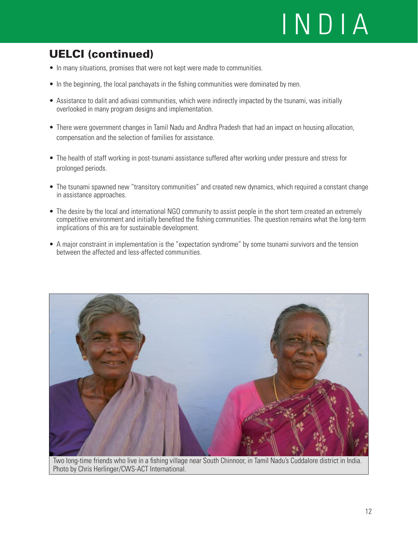## UELCI (continued)

- In many situations, promises that were not kept were made to communities.
- In the beginning, the local panchayats in the fishing communities were dominated by men.
- Assistance to dalit and adivasi communities, which were indirectly impacted by the tsunami, was initially overlooked in many program designs and implementation.
- There were government changes in Tamil Nadu and Andhra Pradesh that had an impact on housing allocation, compensation and the selection of families for assistance.
- The health of staff working in post-tsunami assistance suffered after working under pressure and stress for prolonged periods.
- The tsunami spawned new "transitory communities" and created new dynamics, which required a constant change in assistance approaches.
- The desire by the local and international NGO community to assist people in the short term created an extremely competitive environment and initially benefited the fishing communities. The question remains what the long-term implications of this are for sustainable development.
- A major constraint in implementation is the "expectation syndrome" by some tsunami survivors and the tension between the affected and less-affected communities.



Two long-time friends who live in a fishing village near South Chinnoor, in Tamil Nadu's Cuddalore district in India. Photo by Chris Herlinger/CWS-ACT International.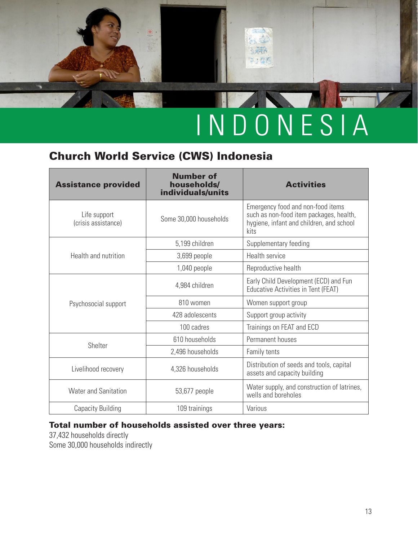天天内  $5.306$ 

### Church World Service (CWS) Indonesia

| <b>Assistance provided</b>          | <b>Number of</b><br>households/<br>individuals/units | <b>Activities</b>                                                                                                                |
|-------------------------------------|------------------------------------------------------|----------------------------------------------------------------------------------------------------------------------------------|
| Life support<br>(crisis assistance) | Some 30,000 households                               | Emergency food and non-food items<br>such as non-food item packages, health,<br>hygiene, infant and children, and school<br>kits |
|                                     | 5,199 children                                       | Supplementary feeding                                                                                                            |
| Health and nutrition                | 3,699 people                                         | Health service                                                                                                                   |
|                                     | 1,040 people                                         | Reproductive health                                                                                                              |
|                                     | 4,984 children                                       | Early Child Development (ECD) and Fun<br><b>Educative Activities in Tent (FEAT)</b>                                              |
| Psychosocial support                | 810 women                                            | Women support group                                                                                                              |
|                                     | 428 adolescents                                      | Support group activity                                                                                                           |
|                                     | 100 cadres                                           | Trainings on FEAT and ECD                                                                                                        |
| Shelter                             | 610 households                                       | Permanent houses                                                                                                                 |
|                                     | 2,496 households                                     | Family tents                                                                                                                     |
| Livelihood recovery                 | 4,326 households                                     | Distribution of seeds and tools, capital<br>assets and capacity building                                                         |
| <b>Water and Sanitation</b>         | 53,677 people                                        | Water supply, and construction of latrines,<br>wells and boreholes                                                               |
| <b>Capacity Building</b>            | 109 trainings                                        | Various                                                                                                                          |

#### Total number of households assisted over three years:

37,432 households directly Some 30,000 households indirectly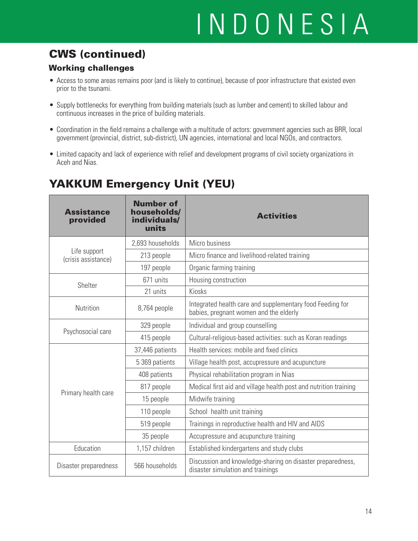## CWS (continued)

#### Working challenges

- Access to some areas remains poor (and is likely to continue), because of poor infrastructure that existed even prior to the tsunami.
- Supply bottlenecks for everything from building materials (such as lumber and cement) to skilled labour and continuous increases in the price of building materials.
- Coordination in the field remains a challenge with a multitude of actors: government agencies such as BRR, local government (provincial, district, sub-district), UN agencies, international and local NGOs, and contractors.
- Limited capacity and lack of experience with relief and development programs of civil society organizations in Aceh and Nias.

### YAKKUM Emergency Unit (YEU)

| <b>Assistance</b><br>provided       | <b>Number of</b><br>households/<br>individuals/<br>units | <b>Activities</b>                                                                                   |
|-------------------------------------|----------------------------------------------------------|-----------------------------------------------------------------------------------------------------|
|                                     | 2,693 households                                         | Micro business                                                                                      |
| Life support<br>(crisis assistance) | 213 people                                               | Micro finance and livelihood-related training                                                       |
|                                     | 197 people                                               | Organic farming training                                                                            |
| Shelter                             | 671 units                                                | Housing construction                                                                                |
|                                     | 21 units                                                 | Kiosks                                                                                              |
| Nutrition                           | 8,764 people                                             | Integrated health care and supplementary food Feeding for<br>babies, pregnant women and the elderly |
| Psychosocial care                   | 329 people                                               | Individual and group counselling                                                                    |
|                                     | 415 people                                               | Cultural-religious-based activities: such as Koran readings                                         |
|                                     | 37,446 patients                                          | Health services: mobile and fixed clinics                                                           |
|                                     | 5 369 patients                                           | Village health post, accupressure and acupuncture                                                   |
|                                     | 408 patients                                             | Physical rehabilitation program in Nias                                                             |
|                                     | 817 people                                               | Medical first aid and village health post and nutrition training                                    |
| Primary health care                 | 15 people                                                | Midwife training                                                                                    |
|                                     | 110 people                                               | School health unit training                                                                         |
|                                     | 519 people                                               | Trainings in reproductive health and HIV and AIDS                                                   |
|                                     | 35 people                                                | Accupressure and acupuncture training                                                               |
| Education                           | 1,157 children                                           | Established kindergartens and study clubs                                                           |
| Disaster preparedness               | 566 households                                           | Discussion and knowledge-sharing on disaster preparedness,<br>disaster simulation and trainings     |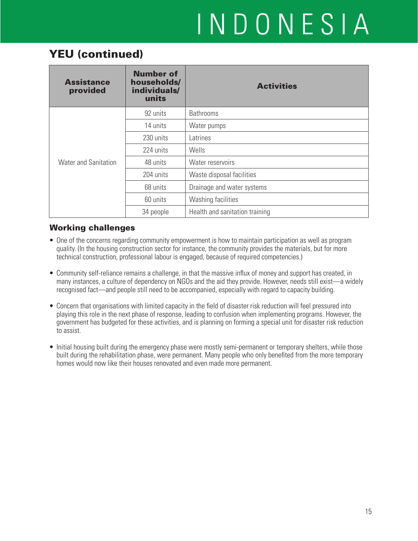### YEU (continued)

| <b>Assistance</b><br>provided | <b>Number of</b><br>households/<br>individuals/<br>units | <b>Activities</b>              |  |
|-------------------------------|----------------------------------------------------------|--------------------------------|--|
|                               | 92 units                                                 | <b>Bathrooms</b>               |  |
|                               | 14 units                                                 | Water pumps                    |  |
|                               | 230 units                                                | Latrines                       |  |
|                               | 224 units                                                | Wells                          |  |
| <b>Water and Sanitation</b>   | 48 units                                                 | Water reservoirs               |  |
|                               | 204 units                                                | Waste disposal facilities      |  |
|                               | 68 units                                                 | Drainage and water systems     |  |
|                               | 60 units                                                 | Washing facilities             |  |
|                               | 34 people                                                | Health and sanitation training |  |

- One of the concerns regarding community empowerment is how to maintain participation as well as program quality. (In the housing construction sector for instance, the community provides the materials, but for more technical construction, professional labour is engaged, because of required competencies.)
- Community self-reliance remains a challenge, in that the massive influx of money and support has created, in many instances, a culture of dependency on NGOs and the aid they provide. However, needs still exist—a widely recognised fact—and people still need to be accompanied, especially with regard to capacity building.
- Concern that organisations with limited capacity in the field of disaster risk reduction will feel pressured into playing this role in the next phase of response, leading to confusion when implementing programs. However, the government has budgeted for these activities, and is planning on forming a special unit for disaster risk reduction to assist.
- Initial housing built during the emergency phase were mostly semi-permanent or temporary shelters, while those built during the rehabilitation phase, were permanent. Many people who only benefited from the more temporary homes would now like their houses renovated and even made more permanent.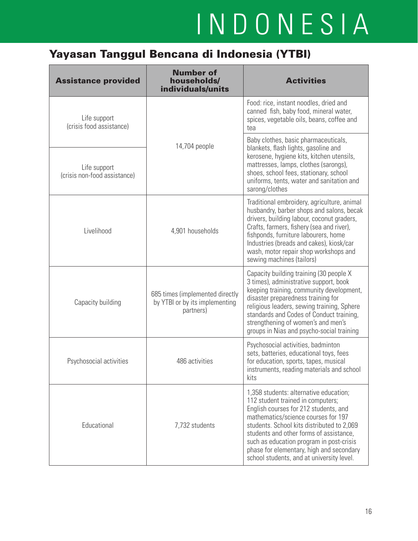## Yayasan Tanggul Bencana di Indonesia (YTBI)

| <b>Assistance provided</b>                   | <b>Number of</b><br>households/<br>individuals/units                           | <b>Activities</b>                                                                                                                                                                                                                                                                                                                                                                         |
|----------------------------------------------|--------------------------------------------------------------------------------|-------------------------------------------------------------------------------------------------------------------------------------------------------------------------------------------------------------------------------------------------------------------------------------------------------------------------------------------------------------------------------------------|
| Life support<br>(crisis food assistance)     |                                                                                | Food: rice, instant noodles, dried and<br>canned fish, baby food, mineral water,<br>spices, vegetable oils, beans, coffee and<br>tea                                                                                                                                                                                                                                                      |
| Life support<br>(crisis non-food assistance) | 14,704 people                                                                  | Baby clothes, basic pharmaceuticals,<br>blankets, flash lights, gasoline and<br>kerosene, hygiene kits, kitchen utensils,<br>mattresses, lamps, clothes (sarongs),<br>shoes, school fees, stationary, school<br>uniforms, tents, water and sanitation and<br>sarong/clothes                                                                                                               |
| Livelihood                                   | 4,901 households                                                               | Traditional embroidery, agriculture, animal<br>husbandry, barber shops and salons, becak<br>drivers, building labour, coconut graders,<br>Crafts, farmers, fishery (sea and river),<br>fishponds, furniture labourers, home<br>Industries (breads and cakes), kiosk/car<br>wash, motor repair shop workshops and<br>sewing machines (tailors)                                             |
| Capacity building                            | 685 times (implemented directly<br>by YTBI or by its implementing<br>partners) | Capacity building training (30 people X<br>3 times), administrative support, book<br>keeping training, community development,<br>disaster preparedness training for<br>religious leaders, sewing training, Sphere<br>standards and Codes of Conduct training,<br>strengthening of women's and men's<br>groups in Nias and psycho-social training                                          |
| Psychosocial activities                      | 486 activities                                                                 | Psychosocial activities, badminton<br>sets, batteries, educational toys, fees<br>for education, sports, tapes, musical<br>instruments, reading materials and school<br>kits                                                                                                                                                                                                               |
| Educational                                  | 7,732 students                                                                 | 1,358 students: alternative education;<br>112 student trained in computers;<br>English courses for 212 students, and<br>mathematics/science courses for 197<br>students. School kits distributed to 2,069<br>students and other forms of assistance,<br>such as education program in post-crisis<br>phase for elementary, high and secondary<br>school students, and at university level. |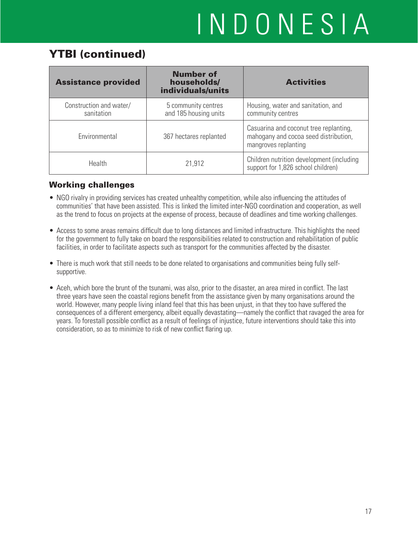### YTBI (continued)

| <b>Assistance provided</b>            | <b>Number of</b><br>households/<br>individuals/units | <b>Activities</b>                                                                                       |
|---------------------------------------|------------------------------------------------------|---------------------------------------------------------------------------------------------------------|
| Construction and water/<br>sanitation | 5 community centres<br>and 185 housing units         | Housing, water and sanitation, and<br>community centres                                                 |
| Environmental                         | 367 hectares replanted                               | Casuarina and coconut tree replanting,<br>mahogany and cocoa seed distribution,<br>mangroves replanting |
| <b>Health</b>                         | 21,912                                               | Children nutrition development (including<br>support for 1,826 school children)                         |

- NGO rivalry in providing services has created unhealthy competition, while also influencing the attitudes of communities' that have been assisted. This is linked the limited inter-NGO coordination and cooperation, as well as the trend to focus on projects at the expense of process, because of deadlines and time working challenges.
- Access to some areas remains difficult due to long distances and limited infrastructure. This highlights the need for the government to fully take on board the responsibilities related to construction and rehabilitation of public facilities, in order to facilitate aspects such as transport for the communities affected by the disaster.
- There is much work that still needs to be done related to organisations and communities being fully selfsupportive.
- Aceh, which bore the brunt of the tsunami, was also, prior to the disaster, an area mired in conflict. The last three years have seen the coastal regions benefit from the assistance given by many organisations around the world. However, many people living inland feel that this has been unjust, in that they too have suffered the consequences of a different emergency, albeit equally devastating—namely the conflict that ravaged the area for years. To forestall possible conflict as a result of feelings of injustice, future interventions should take this into consideration, so as to minimize to risk of new conflict flaring up.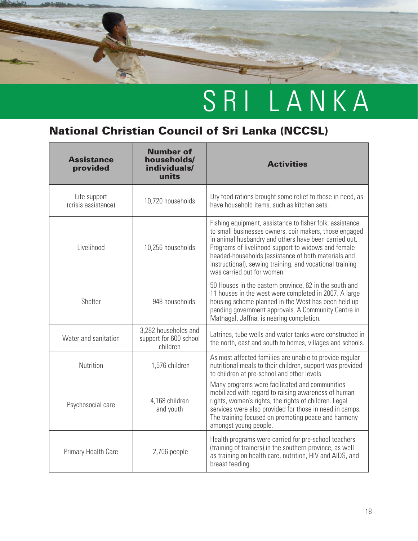

### National Christian Council of Sri Lanka (NCCSL)

| <b>Assistance</b><br>provided       | <b>Number of</b><br>households/<br>individuals/<br>units   | <b>Activities</b>                                                                                                                                                                                                                                                                                                                                                                   |
|-------------------------------------|------------------------------------------------------------|-------------------------------------------------------------------------------------------------------------------------------------------------------------------------------------------------------------------------------------------------------------------------------------------------------------------------------------------------------------------------------------|
| Life support<br>(crisis assistance) | 10,720 households                                          | Dry food rations brought some relief to those in need, as<br>have household items, such as kitchen sets.                                                                                                                                                                                                                                                                            |
| Livelihood                          | 10,256 households                                          | Fishing equipment, assistance to fisher folk, assistance<br>to small businesses owners, coir makers, those engaged<br>in animal husbandry and others have been carried out.<br>Programs of livelihood support to widows and female<br>headed-households (assistance of both materials and<br>instructional), sewing training, and vocational training<br>was carried out for women. |
| Shelter                             | 948 households                                             | 50 Houses in the eastern province, 62 in the south and<br>11 houses in the west were completed in 2007. A large<br>housing scheme planned in the West has been held up<br>pending government approvals. A Community Centre in<br>Mathagal, Jaffna, is nearing completion.                                                                                                           |
| Water and sanitation                | 3,282 households and<br>support for 600 school<br>children | Latrines, tube wells and water tanks were constructed in<br>the north, east and south to homes, villages and schools.                                                                                                                                                                                                                                                               |
| Nutrition                           | 1,576 children                                             | As most affected families are unable to provide regular<br>nutritional meals to their children, support was provided<br>to children at pre-school and other levels                                                                                                                                                                                                                  |
| Psychosocial care                   | 4,168 children<br>and youth                                | Many programs were facilitated and communities<br>mobilized with regard to raising awareness of human<br>rights, women's rights, the rights of children. Legal<br>services were also provided for those in need in camps.<br>The training focused on promoting peace and harmony<br>amongst young people.                                                                           |
| Primary Health Care                 | 2,706 people                                               | Health programs were carried for pre-school teachers<br>(training of trainers) in the southern province, as well<br>as training on health care, nutrition, HIV and AIDS, and<br>breast feeding.                                                                                                                                                                                     |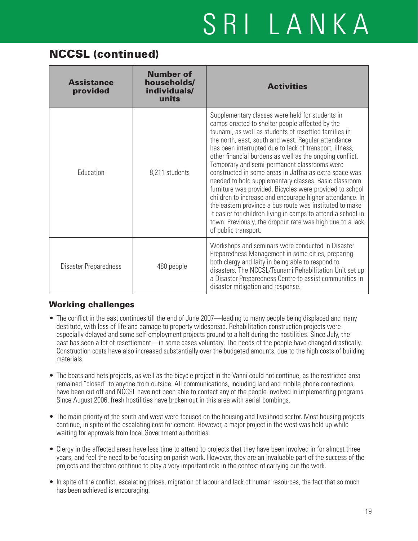## SRI LANKA

### NCCSL (continued)

| <b>Assistance</b><br>provided | <b>Number of</b><br>households/<br>individuals/<br>units | <b>Activities</b>                                                                                                                                                                                                                                                                                                                                                                                                                                                                                                                                                                                                                                                                                                                                                                                                                                    |
|-------------------------------|----------------------------------------------------------|------------------------------------------------------------------------------------------------------------------------------------------------------------------------------------------------------------------------------------------------------------------------------------------------------------------------------------------------------------------------------------------------------------------------------------------------------------------------------------------------------------------------------------------------------------------------------------------------------------------------------------------------------------------------------------------------------------------------------------------------------------------------------------------------------------------------------------------------------|
| Education                     | 8,211 students                                           | Supplementary classes were held for students in<br>camps erected to shelter people affected by the<br>tsunami, as well as students of resettled families in<br>the north, east, south and west. Regular attendance<br>has been interrupted due to lack of transport, illness,<br>other financial burdens as well as the ongoing conflict.<br>Temporary and semi-permanent classrooms were<br>constructed in some areas in Jaffna as extra space was<br>needed to hold supplementary classes. Basic classroom<br>furniture was provided. Bicycles were provided to school<br>children to increase and encourage higher attendance. In<br>the eastern province a bus route was instituted to make<br>it easier for children living in camps to attend a school in<br>town. Previously, the dropout rate was high due to a lack<br>of public transport. |
| Disaster Preparedness         | 480 people                                               | Workshops and seminars were conducted in Disaster<br>Preparedness Management in some cities, preparing<br>both clergy and laity in being able to respond to<br>disasters. The NCCSL/Tsunami Rehabilitation Unit set up<br>a Disaster Preparedness Centre to assist communities in<br>disaster mitigation and response.                                                                                                                                                                                                                                                                                                                                                                                                                                                                                                                               |

- The conflict in the east continues till the end of June 2007—leading to many people being displaced and many destitute, with loss of life and damage to property widespread. Rehabilitation construction projects were especially delayed and some self-employment projects ground to a halt during the hostilities. Since July, the east has seen a lot of resettlement—in some cases voluntary. The needs of the people have changed drastically. Construction costs have also increased substantially over the budgeted amounts, due to the high costs of building materials.
- The boats and nets projects, as well as the bicycle project in the Vanni could not continue, as the restricted area remained "closed" to anyone from outside. All communications, including land and mobile phone connections, have been cut off and NCCSL have not been able to contact any of the people involved in implementing programs. Since August 2006, fresh hostilities have broken out in this area with aerial bombings.
- The main priority of the south and west were focused on the housing and livelihood sector. Most housing projects continue, in spite of the escalating cost for cement. However, a major project in the west was held up while waiting for approvals from local Government authorities.
- Clergy in the affected areas have less time to attend to projects that they have been involved in for almost three years, and feel the need to be focusing on parish work. However, they are an invaluable part of the success of the projects and therefore continue to play a very important role in the context of carrying out the work.
- In spite of the conflict, escalating prices, migration of labour and lack of human resources, the fact that so much has been achieved is encouraging.